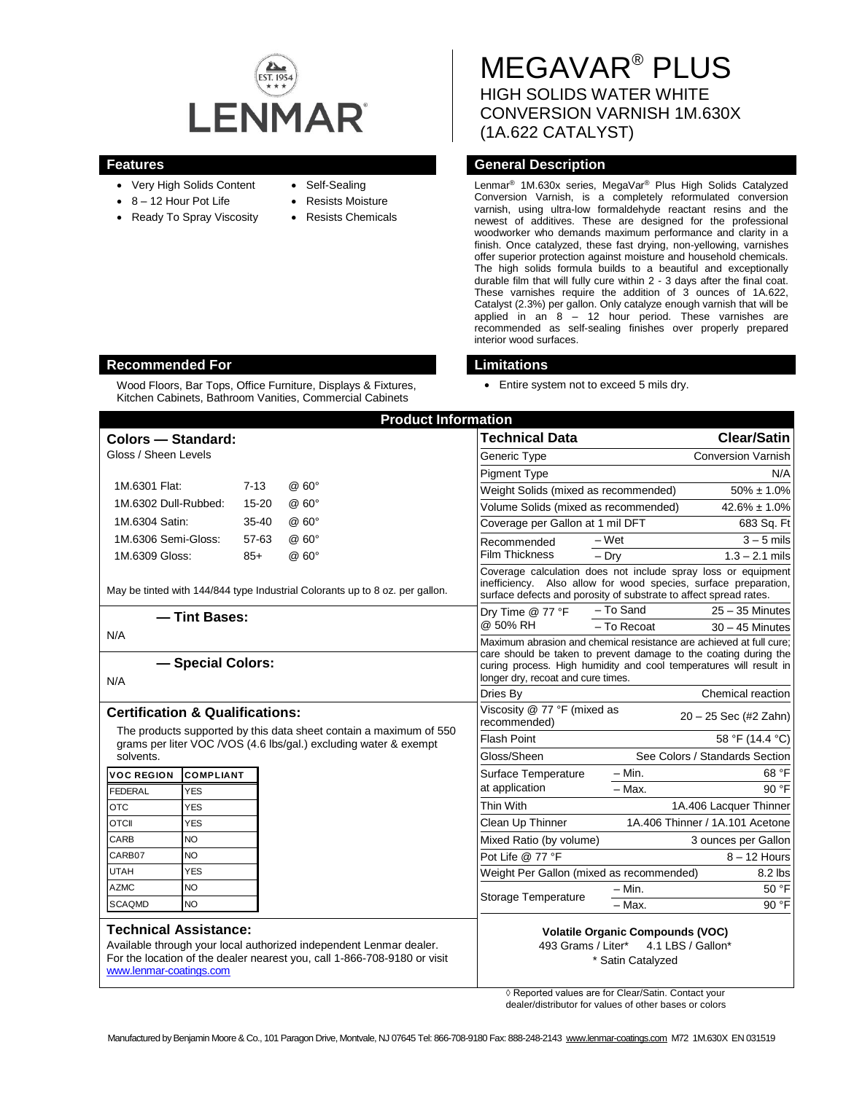

- Very High Solids Content
- $8 12$  Hour Pot Life
- Ready To Spray Viscosity
- Self-Sealing
- Resists Moisture
- Resists Chemicals

# MEGAVAR® PLUS HIGH SOLIDS WATER WHITE CONVERSION VARNISH 1M.630X (1A.622 CATALYST)

## **Features General Description**

Lenmar® 1M.630x series, MegaVar® Plus High Solids Catalyzed Conversion Varnish, is a completely reformulated conversion varnish, using ultra-low formaldehyde reactant resins and the newest of additives. These are designed for the professional woodworker who demands maximum performance and clarity in a finish. Once catalyzed, these fast drying, non-yellowing, varnishes offer superior protection against moisture and household chemicals. The high solids formula builds to a beautiful and exceptionally durable film that will fully cure within 2 - 3 days after the final coat. These varnishes require the addition of 3 ounces of 1A.622, Catalyst (2.3%) per gallon. Only catalyze enough varnish that will be applied in an 8 – 12 hour period. These varnishes are recommended as self-sealing finishes over properly prepared interior wood surfaces.

Entire system not to exceed 5 mils dry.

| <b>Product Information</b>                                                                                                                                                                                |                  |           |              |                                                                                                                                                                                                                                                     |                           |                                 |
|-----------------------------------------------------------------------------------------------------------------------------------------------------------------------------------------------------------|------------------|-----------|--------------|-----------------------------------------------------------------------------------------------------------------------------------------------------------------------------------------------------------------------------------------------------|---------------------------|---------------------------------|
| Colors - Standard:                                                                                                                                                                                        |                  |           |              | <b>Technical Data</b>                                                                                                                                                                                                                               |                           | <b>Clear/Satin</b>              |
| Gloss / Sheen Levels                                                                                                                                                                                      |                  |           | Generic Type |                                                                                                                                                                                                                                                     | <b>Conversion Varnish</b> |                                 |
|                                                                                                                                                                                                           |                  |           |              | <b>Pigment Type</b>                                                                                                                                                                                                                                 |                           | N/A                             |
| 1M.6301 Flat:                                                                                                                                                                                             |                  | $7 - 13$  | @60°         | Weight Solids (mixed as recommended)                                                                                                                                                                                                                |                           | $50\% \pm 1.0\%$                |
| 1M.6302 Dull-Rubbed:                                                                                                                                                                                      |                  | $15 - 20$ | @60°         | Volume Solids (mixed as recommended)                                                                                                                                                                                                                |                           | $42.6\% \pm 1.0\%$              |
| 1M.6304 Satin:                                                                                                                                                                                            |                  | $35 - 40$ | @60°         | Coverage per Gallon at 1 mil DFT                                                                                                                                                                                                                    |                           | 683 Sq. Ft                      |
| 1M.6306 Semi-Gloss:                                                                                                                                                                                       |                  | 57-63     | @ 60°        | Recommended                                                                                                                                                                                                                                         | $-Wet$                    | $3 - 5$ mils                    |
| 1M.6309 Gloss:                                                                                                                                                                                            |                  | $85+$     | @60°         | <b>Film Thickness</b>                                                                                                                                                                                                                               | $-$ Drv                   | $1.3 - 2.1$ mils                |
| May be tinted with 144/844 type Industrial Colorants up to 8 oz. per gallon.                                                                                                                              |                  |           |              | Coverage calculation does not include spray loss or equipment<br>inefficiency. Also allow for wood species, surface preparation,<br>surface defects and porosity of substrate to affect spread rates.                                               |                           |                                 |
| - Tint Bases:                                                                                                                                                                                             |                  |           |              | Drv Time @ 77 °F                                                                                                                                                                                                                                    | - To Sand                 | $25 - 35$ Minutes               |
| N/A                                                                                                                                                                                                       |                  |           | @ 50% RH     | - To Recoat                                                                                                                                                                                                                                         | $30 - 45$ Minutes         |                                 |
| - Special Colors:<br>N/A                                                                                                                                                                                  |                  |           |              | Maximum abrasion and chemical resistance are achieved at full cure:<br>care should be taken to prevent damage to the coating during the<br>curing process. High humidity and cool temperatures will result in<br>longer dry, recoat and cure times. |                           |                                 |
|                                                                                                                                                                                                           |                  |           |              | Dries By                                                                                                                                                                                                                                            |                           | Chemical reaction               |
| <b>Certification &amp; Qualifications:</b>                                                                                                                                                                |                  |           |              | Viscosity @ 77 °F (mixed as<br>recommended)                                                                                                                                                                                                         | $20 - 25$ Sec (#2 Zahn)   |                                 |
| The products supported by this data sheet contain a maximum of 550<br>grams per liter VOC / VOS (4.6 lbs/gal.) excluding water & exempt                                                                   |                  |           |              | <b>Flash Point</b>                                                                                                                                                                                                                                  |                           | 58 °F (14.4 °C)                 |
| solvents.                                                                                                                                                                                                 |                  |           |              | Gloss/Sheen                                                                                                                                                                                                                                         |                           | See Colors / Standards Section  |
| <b>VOC REGION</b>                                                                                                                                                                                         | <b>COMPLIANT</b> |           |              | Surface Temperature                                                                                                                                                                                                                                 | $-$ Min.                  | 68 °F                           |
| <b>FEDERAL</b>                                                                                                                                                                                            | <b>YES</b>       |           |              | at application                                                                                                                                                                                                                                      | $-$ Max.                  | 90 °F                           |
| <b>OTC</b>                                                                                                                                                                                                | <b>YES</b>       |           |              | Thin With                                                                                                                                                                                                                                           |                           | 1A.406 Lacquer Thinner          |
| <b>OTCII</b>                                                                                                                                                                                              | <b>YES</b>       |           |              | Clean Up Thinner                                                                                                                                                                                                                                    |                           | 1A.406 Thinner / 1A.101 Acetone |
| CARB                                                                                                                                                                                                      | <b>NO</b>        |           |              | Mixed Ratio (by volume)                                                                                                                                                                                                                             |                           | 3 ounces per Gallon             |
| <b>NO</b><br>CARB07                                                                                                                                                                                       |                  |           |              | Pot Life @ 77 °F                                                                                                                                                                                                                                    |                           | $8 - 12$ Hours                  |
| <b>UTAH</b><br><b>YES</b>                                                                                                                                                                                 |                  |           |              | Weight Per Gallon (mixed as recommended)                                                                                                                                                                                                            |                           | 8.2 lbs                         |
| <b>AZMC</b>                                                                                                                                                                                               | <b>NO</b>        |           |              | Storage Temperature                                                                                                                                                                                                                                 | $- Min.$                  | 50 °F                           |
| <b>SCAQMD</b>                                                                                                                                                                                             | <b>NO</b>        |           |              |                                                                                                                                                                                                                                                     | $-$ Max.                  | 90 °F                           |
| <b>Technical Assistance:</b><br>Available through your local authorized independent Lenmar dealer.<br>For the location of the dealer nearest you, call 1-866-708-9180 or visit<br>www.lenmar-coatings.com |                  |           |              | <b>Volatile Organic Compounds (VOC)</b><br>4.1 LBS / Gallon*<br>493 Grams / Liter*<br>* Satin Catalyzed                                                                                                                                             |                           |                                 |

◊ Reported values are for Clear/Satin. Contact your dealer/distributor for values of other bases or colors

## **Recommended For Limitations**

Wood Floors, Bar Tops, Office Furniture, Displays & Fixtures, Kitchen Cabinets, Bathroom Vanities, Commercial Cabinets